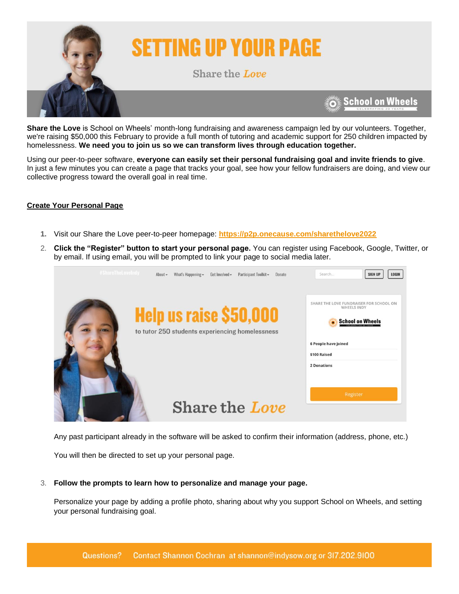

# **SETTING UP YOUR PAGE**

Share the Love

**School on Wheels** 

**Share the Love** is School on Wheels' month-long fundraising and awareness campaign led by our volunteers. Together, we're raising \$50,000 this February to provide a full month of tutoring and academic support for 250 children impacted by homelessness. **We need you to join us so we can transform lives through education together.**

Using our peer-to-peer software, **everyone can easily set their personal fundraising goal and invite friends to give**. In just a few minutes you can create a page that tracks your goal, see how your fellow fundraisers are doing, and view our collective progress toward the overall goal in real time.

### **Create Your Personal Page**

- **1.** Visit our Share the Love peer-to-peer homepage: **<https://p2p.onecause.com/sharethelove2022>**
- 2. **Click the "Register" button to start your personal page.** You can register using Facebook, Google, Twitter, or by email. If using email, you will be prompted to link your page to social media later.



Any past participant already in the software will be asked to confirm their information (address, phone, etc.)

You will then be directed to set up your personal page.

#### 3. **Follow the prompts to learn how to personalize and manage your page.**

Personalize your page by adding a profile photo, sharing about why you support School on Wheels, and setting your personal fundraising goal.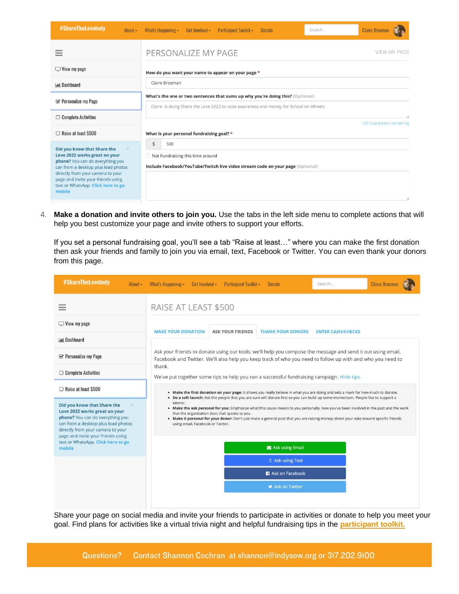| #ShareTheLoveIndy<br>About $\sim$                                                                                                                                                                                                                                                     | Participant Toolkit -<br>Search<br>What's Happening $\sim$<br>Get Involved $\sim$<br><b>Donate</b>                                                                      | <b>Claire Brosman</b>          |
|---------------------------------------------------------------------------------------------------------------------------------------------------------------------------------------------------------------------------------------------------------------------------------------|-------------------------------------------------------------------------------------------------------------------------------------------------------------------------|--------------------------------|
|                                                                                                                                                                                                                                                                                       | PERSONALIZE MY PAGE                                                                                                                                                     | <b>VIEW MY PAGE</b>            |
| $\Box$ View my page                                                                                                                                                                                                                                                                   | How do you want your name to appear on your page *                                                                                                                      |                                |
| <b>Ind</b> Dashboard                                                                                                                                                                                                                                                                  | Claire Brosman                                                                                                                                                          |                                |
| $\mathcal G$ Personalize my Page                                                                                                                                                                                                                                                      | What's the one or two sentences that sums up why you're doing this? (Optional)<br>Claire is doing Share the Love 2022 to raise awareness and money for School on Wheels |                                |
| $\Box$ Complete Activities                                                                                                                                                                                                                                                            |                                                                                                                                                                         | ı.<br>140 characters remaining |
| $\Box$ Raise at least \$500                                                                                                                                                                                                                                                           | What is your personal fundraising goal? *                                                                                                                               |                                |
| <b>Did you know that Share the</b><br>$\times$<br>Love 2022 works great on your<br>phone? You can do everything you<br>can from a desktop plus load photos<br>directly from your camera to your<br>page and invite your friends using<br>text or WhatsApp. Click here to go<br>mobile | $\dot{\mathsf{S}}$<br>500                                                                                                                                               |                                |
|                                                                                                                                                                                                                                                                                       | Not Fundraising this time around<br>Include Facebook/YouTube/Twitch live video stream code on your page (Optional)                                                      | h                              |

4. **Make a donation and invite others to join you.** Use the tabs in the left side menu to complete actions that will help you best customize your page and invite others to support your efforts.

If you set a personal fundraising goal, you'll see a tab "Raise at least…" where you can make the first donation then ask your friends and family to join you via email, text, Facebook or Twitter. You can even thank your donors from this page.

| #ShareTheLoveIndy<br>About -                                                                                                                                                                                                   | <b>Claire Brosman</b><br>Get Involved -<br>Participant Toolkit -<br>What's Happening -<br><b>Donate</b><br>Search                                                                                                                                                                                                                                                                                                                                                                                                       |  |  |
|--------------------------------------------------------------------------------------------------------------------------------------------------------------------------------------------------------------------------------|-------------------------------------------------------------------------------------------------------------------------------------------------------------------------------------------------------------------------------------------------------------------------------------------------------------------------------------------------------------------------------------------------------------------------------------------------------------------------------------------------------------------------|--|--|
|                                                                                                                                                                                                                                | RAISE AT LEAST \$500                                                                                                                                                                                                                                                                                                                                                                                                                                                                                                    |  |  |
| $\Box$ View my page                                                                                                                                                                                                            | <b>MAKE YOUR DONATION</b><br><b>ASK YOUR FRIENDS</b><br><b>THANK YOUR DONORS</b><br><b>ENTER CASH/CHECKS</b>                                                                                                                                                                                                                                                                                                                                                                                                            |  |  |
| <b>Ind Dashboard</b>                                                                                                                                                                                                           |                                                                                                                                                                                                                                                                                                                                                                                                                                                                                                                         |  |  |
| <b>≤ Personalize my Page</b>                                                                                                                                                                                                   | Ask your friends to donate using our tools; we'll help you compose the message and send it out using email,<br>Facebook and Twitter. We'll also help you keep track of who you need to follow up with and who you need to                                                                                                                                                                                                                                                                                               |  |  |
| $\Box$ Complete Activities                                                                                                                                                                                                     | thank.<br>We've put together some tips to help you run a successful fundraising campaign. Hide tips.                                                                                                                                                                                                                                                                                                                                                                                                                    |  |  |
| □ Raise at least \$500                                                                                                                                                                                                         | . Make the first donation on your page: It shows you really believe in what you are doing and sets a mark for how much to donate.                                                                                                                                                                                                                                                                                                                                                                                       |  |  |
| Did you know that Share the<br>$\infty$<br>Love 2022 works great on your<br>phone? You can do everything you<br>can from a desktop plus load photos<br>directly from your camera to your<br>page and invite your friends using | . Do a soft launch: Ask the people that you are sure will donate first so you can build up some momentum. People like to support a<br>winner.<br>. Make the ask personal for you: Emphasize what this cause means to you personally, how you've been involved in the past and the work<br>that the organization does that speaks to you.<br>. Make it personal for your donor: Don't just make a general post that you are raising money; direct your asks toward specific friends<br>using email, Facebook or Twitter. |  |  |
| text or WhatsApp. Click here to go<br>mobile                                                                                                                                                                                   | Ask using Email                                                                                                                                                                                                                                                                                                                                                                                                                                                                                                         |  |  |
|                                                                                                                                                                                                                                | D Ask using Text                                                                                                                                                                                                                                                                                                                                                                                                                                                                                                        |  |  |
|                                                                                                                                                                                                                                | <b>3</b> Ask on Facebook                                                                                                                                                                                                                                                                                                                                                                                                                                                                                                |  |  |
|                                                                                                                                                                                                                                | <b>S</b> Ask on Twitter                                                                                                                                                                                                                                                                                                                                                                                                                                                                                                 |  |  |
|                                                                                                                                                                                                                                |                                                                                                                                                                                                                                                                                                                                                                                                                                                                                                                         |  |  |

Share your page on social media and invite your friends to participate in activities or donate to help you meet your goal. Find plans for activities like a virtual trivia night and helpful fundraising tips in the **[participant toolkit.](https://indyschoolonwheels.org/participant-toolkit/)**